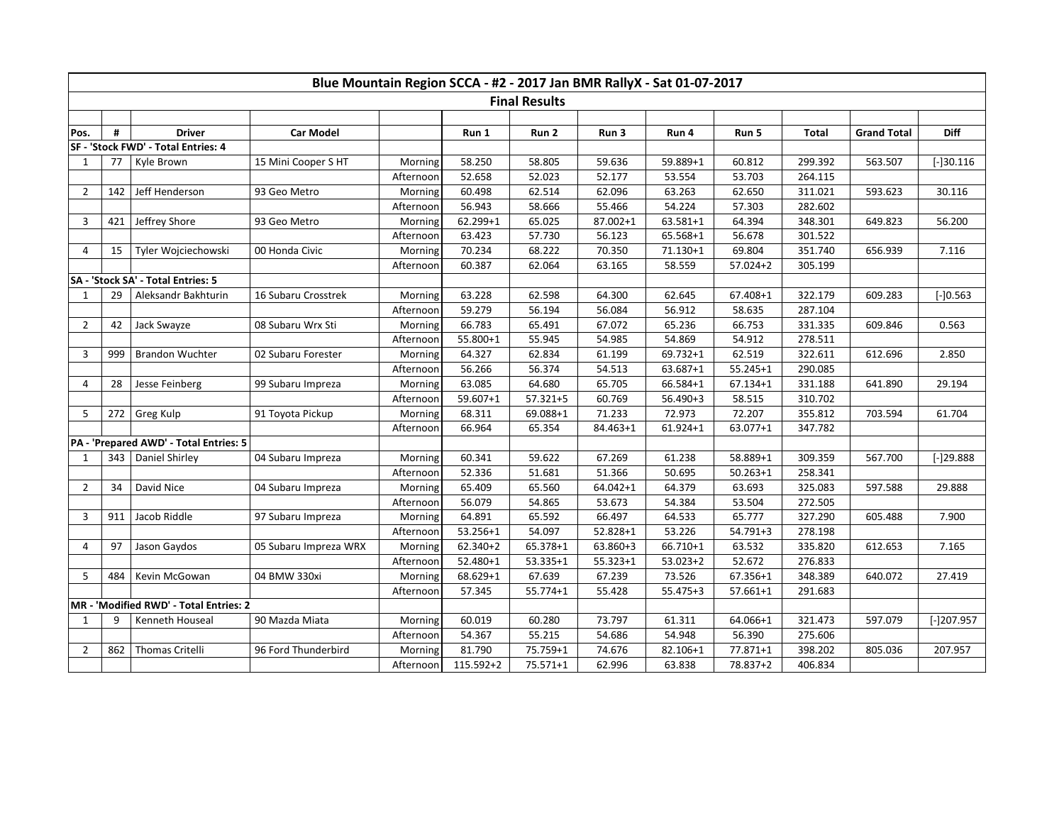| Blue Mountain Region SCCA - #2 - 2017 Jan BMR RallyX - Sat 01-07-2017 |     |                                    |                       |           |           |          |              |              |              |              |                    |              |
|-----------------------------------------------------------------------|-----|------------------------------------|-----------------------|-----------|-----------|----------|--------------|--------------|--------------|--------------|--------------------|--------------|
| <b>Final Results</b>                                                  |     |                                    |                       |           |           |          |              |              |              |              |                    |              |
|                                                                       |     |                                    |                       |           |           |          |              |              |              |              |                    |              |
| Pos.                                                                  | #   | <b>Driver</b>                      | <b>Car Model</b>      |           | Run 1     | Run 2    | Run 3        | Run 4        | Run 5        | <b>Total</b> | <b>Grand Total</b> | <b>Diff</b>  |
| SF - 'Stock FWD' - Total Entries: 4                                   |     |                                    |                       |           |           |          |              |              |              |              |                    |              |
| $\mathbf{1}$                                                          | 77  | Kyle Brown                         | 15 Mini Cooper S HT   | Morning   | 58.250    | 58.805   | 59.636       | 59.889+1     | 60.812       | 299.392      | 563.507            | $[-]30.116$  |
|                                                                       |     |                                    |                       | Afternoon | 52.658    | 52.023   | 52.177       | 53.554       | 53.703       | 264.115      |                    |              |
| $\overline{2}$                                                        | 142 | Jeff Henderson                     | 93 Geo Metro          | Morning   | 60.498    | 62.514   | 62.096       | 63.263       | 62.650       | 311.021      | 593.623            | 30.116       |
|                                                                       |     |                                    |                       | Afternoon | 56.943    | 58.666   | 55.466       | 54.224       | 57.303       | 282.602      |                    |              |
| 3                                                                     | 421 | Jeffrey Shore                      | 93 Geo Metro          | Morning   | 62.299+1  | 65.025   | 87.002+1     | 63.581+1     | 64.394       | 348.301      | 649.823            | 56.200       |
|                                                                       |     |                                    |                       | Afternoon | 63.423    | 57.730   | 56.123       | 65.568+1     | 56.678       | 301.522      |                    |              |
| $\overline{4}$                                                        | 15  | Tyler Wojciechowski                | 00 Honda Civic        | Morning   | 70.234    | 68.222   | 70.350       | $71.130 + 1$ | 69.804       | 351.740      | 656.939            | 7.116        |
|                                                                       |     |                                    |                       | Afternoon | 60.387    | 62.064   | 63.165       | 58.559       | 57.024+2     | 305.199      |                    |              |
|                                                                       |     | SA - 'Stock SA' - Total Entries: 5 |                       |           |           |          |              |              |              |              |                    |              |
| 1                                                                     | 29  | Aleksandr Bakhturin                | 16 Subaru Crosstrek   | Morning   | 63.228    | 62.598   | 64.300       | 62.645       | 67.408+1     | 322.179      | 609.283            | $[-]0.563$   |
|                                                                       |     |                                    |                       | Afternoon | 59.279    | 56.194   | 56.084       | 56.912       | 58.635       | 287.104      |                    |              |
| $\overline{2}$                                                        | 42  | Jack Swayze                        | 08 Subaru Wrx Sti     | Morning   | 66.783    | 65.491   | 67.072       | 65.236       | 66.753       | 331.335      | 609.846            | 0.563        |
|                                                                       |     |                                    |                       | Afternoon | 55.800+1  | 55.945   | 54.985       | 54.869       | 54.912       | 278.511      |                    |              |
| 3                                                                     | 999 | <b>Brandon Wuchter</b>             | 02 Subaru Forester    | Morning   | 64.327    | 62.834   | 61.199       | $69.732 + 1$ | 62.519       | 322.611      | 612.696            | 2.850        |
|                                                                       |     |                                    |                       | Afternoon | 56.266    | 56.374   | 54.513       | 63.687+1     | $55.245 + 1$ | 290.085      |                    |              |
| 4                                                                     | 28  | Jesse Feinberg                     | 99 Subaru Impreza     | Morning   | 63.085    | 64.680   | 65.705       | 66.584+1     | $67.134 + 1$ | 331.188      | 641.890            | 29.194       |
|                                                                       |     |                                    |                       | Afternoon | 59.607+1  | 57.321+5 | 60.769       | $56.490 + 3$ | 58.515       | 310.702      |                    |              |
| 5                                                                     | 272 | Greg Kulp                          | 91 Toyota Pickup      | Morning   | 68.311    | 69.088+1 | 71.233       | 72.973       | 72.207       | 355.812      | 703.594            | 61.704       |
|                                                                       |     |                                    |                       | Afternoon | 66.964    | 65.354   | 84.463+1     | $61.924 + 1$ | 63.077+1     | 347.782      |                    |              |
| PA - 'Prepared AWD' - Total Entries: 5                                |     |                                    |                       |           |           |          |              |              |              |              |                    |              |
| 1                                                                     | 343 | Daniel Shirley                     | 04 Subaru Impreza     | Morning   | 60.341    | 59.622   | 67.269       | 61.238       | 58.889+1     | 309.359      | 567.700            | $[-]29.888$  |
|                                                                       |     |                                    |                       | Afternoon | 52.336    | 51.681   | 51.366       | 50.695       | $50.263 + 1$ | 258.341      |                    |              |
| $\overline{2}$                                                        | 34  | David Nice                         | 04 Subaru Impreza     | Morning   | 65.409    | 65.560   | $64.042 + 1$ | 64.379       | 63.693       | 325.083      | 597.588            | 29.888       |
|                                                                       |     |                                    |                       | Afternoon | 56.079    | 54.865   | 53.673       | 54.384       | 53.504       | 272.505      |                    |              |
| 3                                                                     | 911 | Jacob Riddle                       | 97 Subaru Impreza     | Morning   | 64.891    | 65.592   | 66.497       | 64.533       | 65.777       | 327.290      | 605.488            | 7.900        |
|                                                                       |     |                                    |                       | Afternoon | 53.256+1  | 54.097   | $52.828 + 1$ | 53.226       | 54.791+3     | 278.198      |                    |              |
| 4                                                                     | 97  | Jason Gaydos                       | 05 Subaru Impreza WRX | Morning   | 62.340+2  | 65.378+1 | 63.860+3     | 66.710+1     | 63.532       | 335.820      | 612.653            | 7.165        |
|                                                                       |     |                                    |                       | Afternoon | 52.480+1  | 53.335+1 | 55.323+1     | $53.023 + 2$ | 52.672       | 276.833      |                    |              |
| 5                                                                     | 484 | Kevin McGowan                      | 04 BMW 330xi          | Morning   | 68.629+1  | 67.639   | 67.239       | 73.526       | 67.356+1     | 348.389      | 640.072            | 27.419       |
|                                                                       |     |                                    |                       | Afternoon | 57.345    | 55.774+1 | 55.428       | 55.475+3     | 57.661+1     | 291.683      |                    |              |
| MR - 'Modified RWD' - Total Entries: 2                                |     |                                    |                       |           |           |          |              |              |              |              |                    |              |
| 1                                                                     | 9   | Kenneth Houseal                    | 90 Mazda Miata        | Morning   | 60.019    | 60.280   | 73.797       | 61.311       | 64.066+1     | 321.473      | 597.079            | $[-]207.957$ |
|                                                                       |     |                                    |                       | Afternoon | 54.367    | 55.215   | 54.686       | 54.948       | 56.390       | 275.606      |                    |              |
| $\overline{2}$                                                        | 862 | Thomas Critelli                    | 96 Ford Thunderbird   | Morning   | 81.790    | 75.759+1 | 74.676       | 82.106+1     | 77.871+1     | 398.202      | 805.036            | 207.957      |
|                                                                       |     |                                    |                       | Afternoon | 115.592+2 | 75.571+1 | 62.996       | 63.838       | 78.837+2     | 406.834      |                    |              |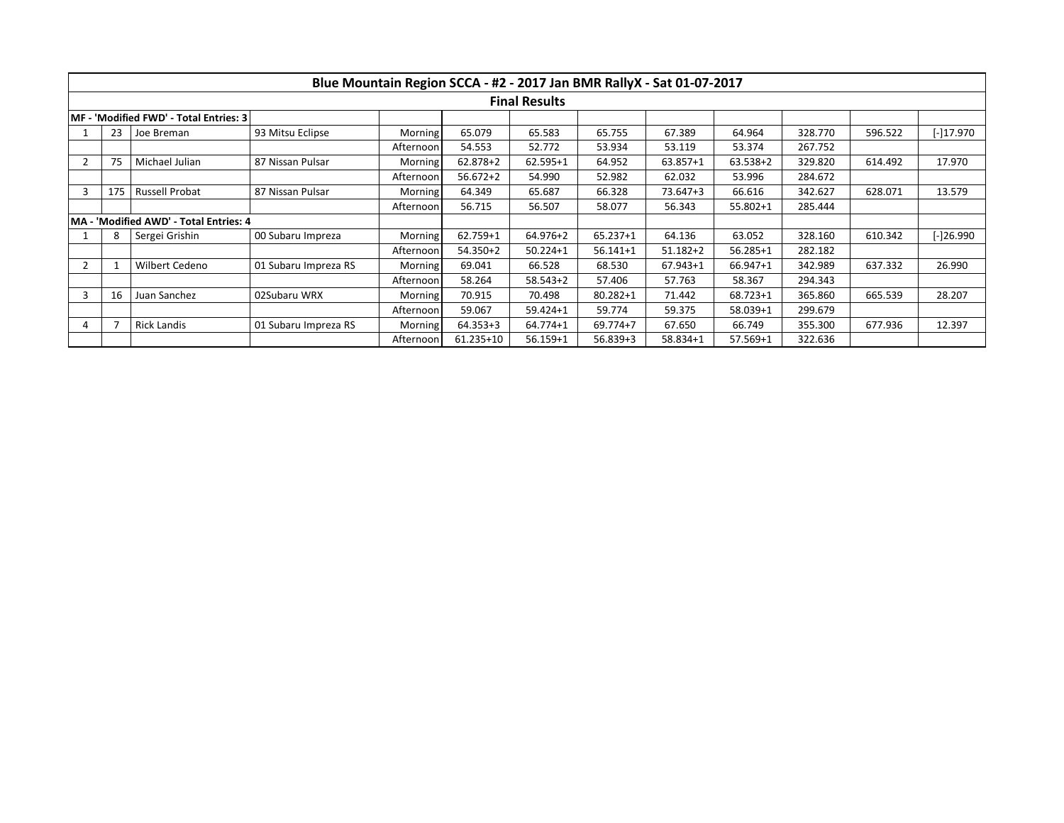|                                        | Blue Mountain Region SCCA - #2 - 2017 Jan BMR RallyX - Sat 01-07-2017<br><b>Final Results</b> |                                         |                      |                |              |              |              |              |              |         |           |           |
|----------------------------------------|-----------------------------------------------------------------------------------------------|-----------------------------------------|----------------------|----------------|--------------|--------------|--------------|--------------|--------------|---------|-----------|-----------|
|                                        |                                                                                               |                                         |                      |                |              |              |              |              |              |         |           |           |
| MF - 'Modified FWD' - Total Entries: 3 |                                                                                               |                                         |                      |                |              |              |              |              |              |         |           |           |
|                                        | 23                                                                                            | Joe Breman                              | 93 Mitsu Eclipse     | Morning        | 65.079       | 65.583       | 65.755       | 67.389       | 64.964       | 328.770 | 596.522   | [-]17.970 |
|                                        |                                                                                               |                                         |                      | Afternoon      | 54.553       | 52.772       | 53.934       | 53.119       | 53.374       | 267.752 |           |           |
|                                        | 75                                                                                            | Michael Julian                          | 87 Nissan Pulsar     | <b>Morning</b> | $62.878 + 2$ | 62.595+1     | 64.952       | 63.857+1     | 63.538+2     | 329.820 | 614.492   | 17.970    |
|                                        |                                                                                               |                                         |                      | Afternoon      | $56.672 + 2$ | 54.990       | 52.982       | 62.032       | 53.996       | 284.672 |           |           |
|                                        | 175                                                                                           | Russell Probat                          | 87 Nissan Pulsar     | Morning        | 64.349       | 65.687       | 66.328       | 73.647+3     | 66.616       | 342.627 | 628.071   | 13.579    |
|                                        |                                                                                               |                                         |                      | Afternoon      | 56.715       | 56.507       | 58.077       | 56.343       | 55.802+1     | 285.444 |           |           |
|                                        |                                                                                               | IMA - 'Modified AWD' - Total Entries: 4 |                      |                |              |              |              |              |              |         |           |           |
|                                        | Sergei Grishin<br>00 Subaru Impreza                                                           |                                         | <b>Morning</b>       | 62.759+1       | 64.976+2     | 65.237+1     | 64.136       | 63.052       | 328.160      | 610.342 | [-]26.990 |           |
|                                        |                                                                                               |                                         |                      | Afternoon      | 54.350+2     | $50.224 + 1$ | $56.141 + 1$ | $51.182 + 2$ | $56.285 + 1$ | 282.182 |           |           |
|                                        |                                                                                               | Wilbert Cedeno                          | 01 Subaru Impreza RS | Morning        | 69.041       | 66.528       | 68.530       | $67.943 + 1$ | 66.947+1     | 342.989 | 637.332   | 26.990    |
|                                        |                                                                                               |                                         |                      | Afternoon      | 58.264       | $58.543+2$   | 57.406       | 57.763       | 58.367       | 294.343 |           |           |
| 3                                      | 16                                                                                            | Juan Sanchez                            | 02Subaru WRX         | <b>Morning</b> | 70.915       | 70.498       | $80.282 + 1$ | 71.442       | 68.723+1     | 365.860 | 665.539   | 28.207    |
|                                        |                                                                                               |                                         |                      | Afternoon      | 59.067       | $59.424 + 1$ | 59.774       | 59.375       | 58.039+1     | 299.679 |           |           |
| 4                                      |                                                                                               | <b>Rick Landis</b>                      | 01 Subaru Impreza RS | Morning        | $64.353 + 3$ | 64.774+1     | 69.774+7     | 67.650       | 66.749       | 355.300 | 677.936   | 12.397    |
|                                        |                                                                                               |                                         |                      | Afternoon      | 61.235+10    | $56.159 + 1$ | 56.839+3     | 58.834+1     | 57.569+1     | 322.636 |           |           |